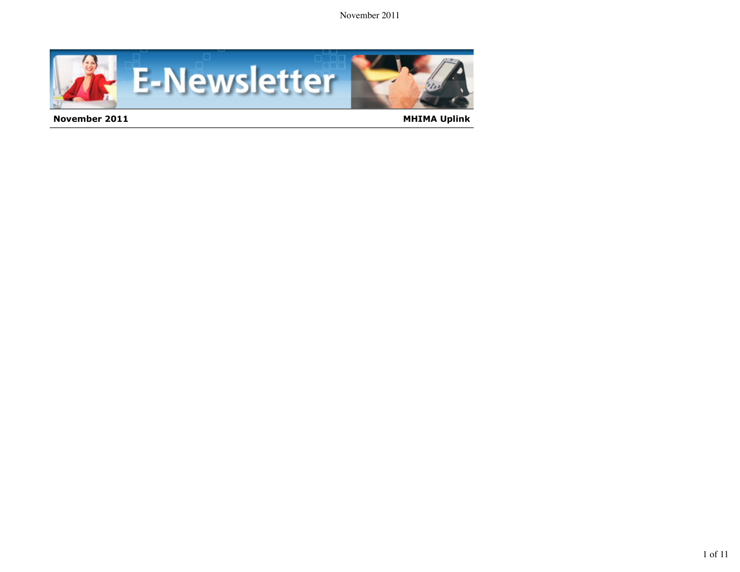

**November 2011 MHIMA Uplink MHIMA Uplink**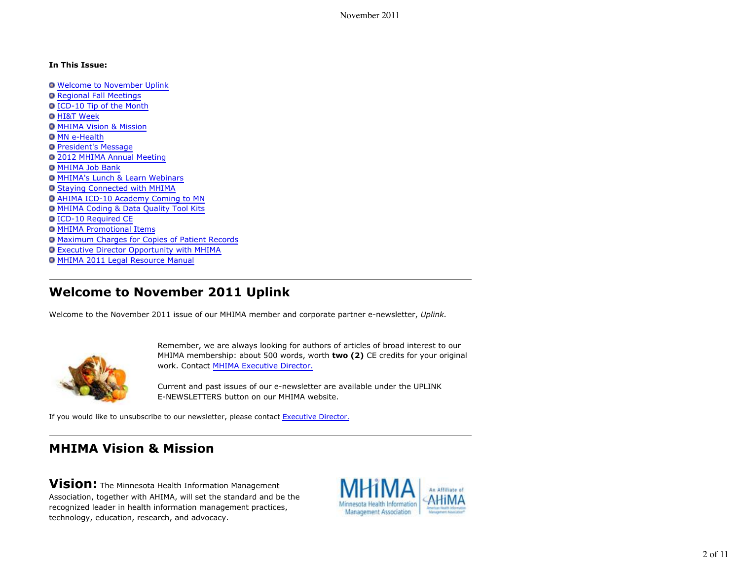#### **In This Issue:**

- Welcome to November Uplink
- **O Regional Fall Meetings**
- ICD-10 Tip of the Month
- **O HI&T Week**
- MHIMA Vision & Mission
- **O MN e-Health**
- **O** President's Message
- 2012 MHIMA Annual Meeting
- **O MHIMA Job Bank**
- MHIMA's Lunch & Learn Webinars
- Staying Connected with MHIMA
- AHIMA ICD-10 Academy Coming to MN
- MHIMA Coding & Data Quality Tool Kits
- ICD-10 Required CE
- MHIMA Promotional Items
- o Maximum Charges for Copies of Patient Records
- **Executive Director Opportunity with MHIMA**
- MHIMA 2011 Legal Resource Manual

# **Welcome to November 2011 Uplink**

Welcome to the November 2011 issue of our MHIMA member and corporate partner e-newsletter, *Uplink.*



Remember, we are always looking for authors of articles of broad interest to our MHIMA membership: about 500 words, worth **two (2)** CE credits for your original work. Contact MHIMA Executive Director.

Current and past issues of our e-newsletter are available under the UPLINK E-NEWSLETTERS button on our MHIMA website.

If you would like to unsubscribe to our newsletter, please contact Executive Director.

# **MHIMA Vision & Mission**

**Vision:** The Minnesota Health Information Management Association, together with AHIMA, will set the standard and be the recognized leader in health information management practices, technology, education, research, and advocacy.

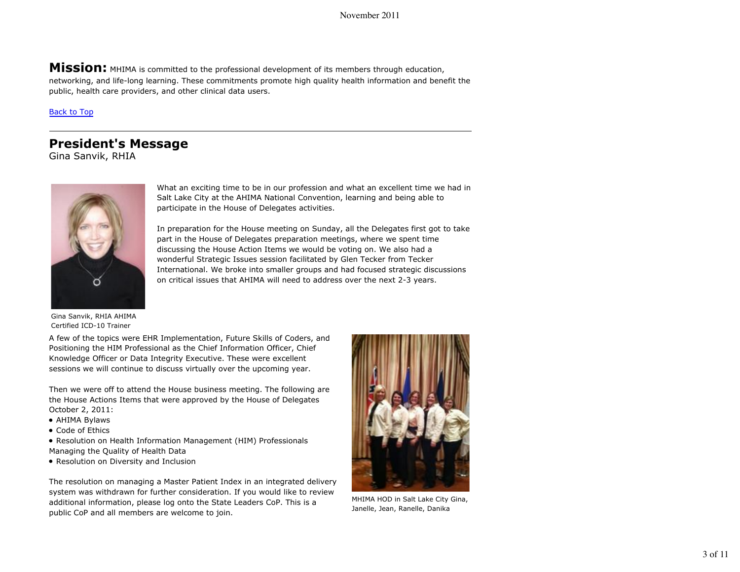**Mission:** MHIMA is committed to the professional development of its members through education, networking, and life-long learning. These commitments promote high quality health information and benefit the public, health care providers, and other clinical data users.

Back to Top

## **President's Message**

Gina Sanvik, RHIA



What an exciting time to be in our profession and what an excellent time we had in Salt Lake City at the AHIMA National Convention, learning and being able to participate in the House of Delegates activities.

In preparation for the House meeting on Sunday, all the Delegates first got to take part in the House of Delegates preparation meetings, where we spent time discussing the House Action Items we would be voting on. We also had a wonderful Strategic Issues session facilitated by Glen Tecker from Tecker International. We broke into smaller groups and had focused strategic discussions on critical issues that AHIMA will need to address over the next 2-3 years.

Gina Sanvik, RHIA AHIMA Certified ICD-10 Trainer

A few of the topics were EHR Implementation, Future Skills of Coders, and Positioning the HIM Professional as the Chief Information Officer, Chief Knowledge Officer or Data Integrity Executive. These were excellent sessions we will continue to discuss virtually over the upcoming year.

Then we were off to attend the House business meeting. The following are the House Actions Items that were approved by the House of Delegates October 2, 2011:

- AHIMA Bylaws
- Code of Ethics
- Resolution on Health Information Management (HIM) Professionals Managing the Quality of Health Data
- Resolution on Diversity and Inclusion

The resolution on managing a Master Patient Index in an integrated delivery system was withdrawn for further consideration. If you would like to review additional information, please log onto the State Leaders CoP. This is a public CoP and all members are welcome to join.



MHIMA HOD in Salt Lake City Gina, Janelle, Jean, Ranelle, Danika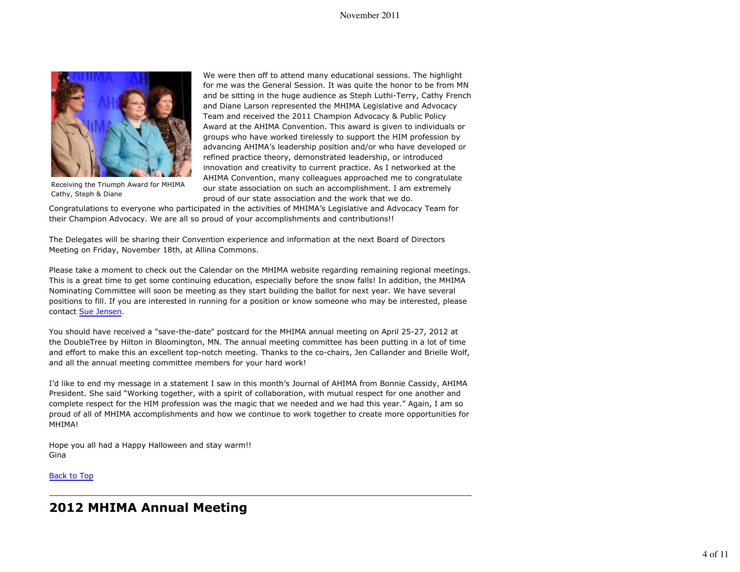### November 2011



Receiving the Triumph Award for MHIMA Cathy, Steph & Diane

We were then off to attend many educational sessions. The highlight for me was the General Session. It was quite the honor to be from MN and be sitting in the huge audience as Steph Luthi-Terry, Cathy French and Diane Larson represented the MHIMA Legislative and Advocacy Team and received the 2011 Champion Advocacy & Public Policy Award at the AHIMA Convention. This award is given to individuals or groups who have worked tirelessly to support the HIM profession by advancing AHIMA's leadership position and/or who have developed or refined practice theory, demonstrated leadership, or introduced innovation and creativity to current practice. As I networked at the AHIMA Convention, many colleagues approached me to congratulate our state association on such an accomplishment. I am extremely proud of our state association and the work that we do.

Congratulations to everyone who participated in the activities of MHIMA's Legislative and Advocacy Team for their Champion Advocacy. We are all so proud of your accomplishments and contributions!!

The Delegates will be sharing their Convention experience and information at the next Board of Directors Meeting on Friday, November 18th, at Allina Commons.

Please take a moment to check out the Calendar on the MHIMA website regarding remaining regional meetings. This is a great time to get some continuing education, especially before the snow falls! In addition, the MHIMA Nominating Committee will soon be meeting as they start building the ballot for next year. We have several positions to fill. If you are interested in running for a position or know someone who may be interested, please contact Sue Jensen.

You should have received a "save-the-date" postcard for the MHIMA annual meeting on April 25-27, 2012 at the DoubleTree by Hilton in Bloomington, MN. The annual meeting committee has been putting in a lot of time and effort to make this an excellent top-notch meeting. Thanks to the co-chairs, Jen Callander and Brielle Wolf, and all the annual meeting committee members for your hard work!

I'd like to end my message in a statement I saw in this month's Journal of AHIMA from Bonnie Cassidy, AHIMA President. She said "Working together, with a spirit of collaboration, with mutual respect for one another and complete respect for the HIM profession was the magic that we needed and we had this year." Again, I am so proud of all of MHIMA accomplishments and how we continue to work together to create more opportunities for MHIMA!

Hope you all had a Happy Halloween and stay warm!! Gina

Back to Top

# **2012 MHIMA Annual Meeting**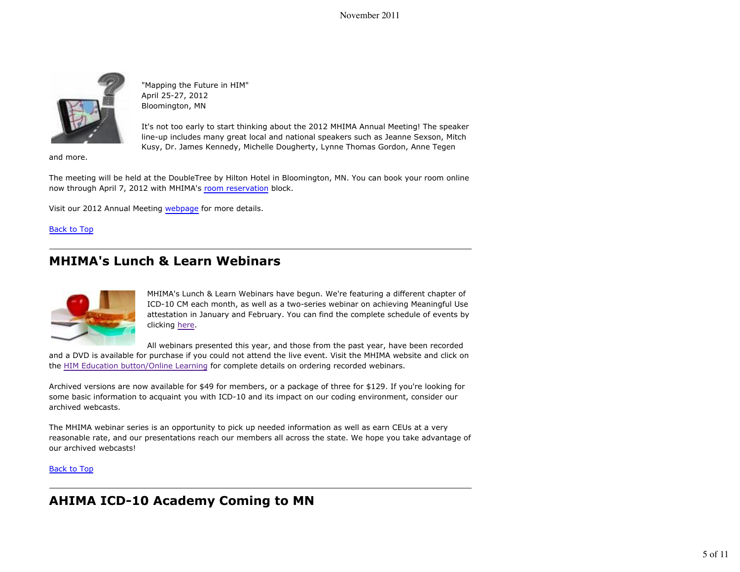

"Mapping the Future in HIM" April 25-27, 2012 Bloomington, MN

It's not too early to start thinking about the 2012 MHIMA Annual Meeting! The speaker line-up includes many great local and national speakers such as Jeanne Sexson, Mitch Kusy, Dr. James Kennedy, Michelle Dougherty, Lynne Thomas Gordon, Anne Tegen

and more.

The meeting will be held at the DoubleTree by Hilton Hotel in Bloomington, MN. You can book your room online now through April 7, 2012 with MHIMA's room reservation block.

Visit our 2012 Annual Meeting webpage for more details.

Back to Top

# **MHIMA's Lunch & Learn Webinars**



MHIMA's Lunch & Learn Webinars have begun. We're featuring a different chapter of ICD-10 CM each month, as well as a two-series webinar on achieving Meaningful Use attestation in January and February. You can find the complete schedule of events by clicking here.

All webinars presented this year, and those from the past year, have been recorded and a DVD is available for purchase if you could not attend the live event. Visit the MHIMA website and click on the HIM Education button/Online Learning for complete details on ordering recorded webinars.

Archived versions are now available for \$49 for members, or a package of three for \$129. If you're looking for some basic information to acquaint you with ICD-10 and its impact on our coding environment, consider our archived webcasts.

The MHIMA webinar series is an opportunity to pick up needed information as well as earn CEUs at a very reasonable rate, and our presentations reach our members all across the state. We hope you take advantage of our archived webcasts!

Back to Top

# **AHIMA ICD-10 Academy Coming to MN**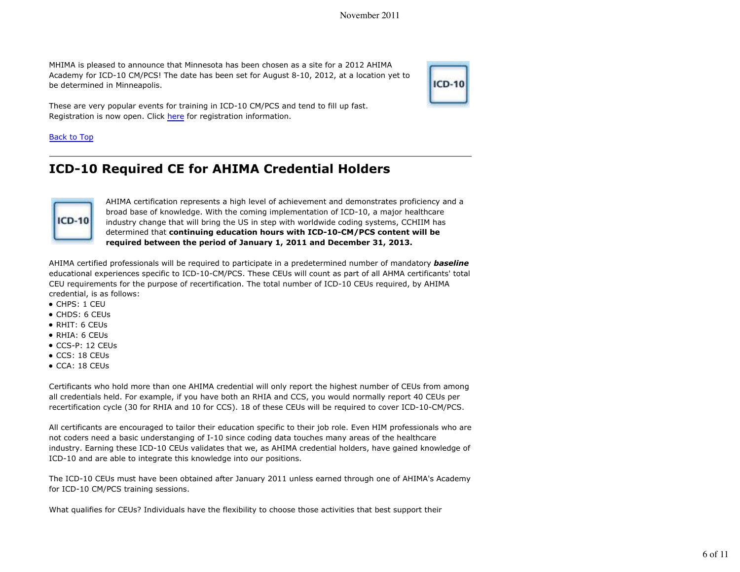MHIMA is pleased to announce that Minnesota has been chosen as a site for a 2012 AHIMA Academy for ICD-10 CM/PCS! The date has been set for August 8-10, 2012, at a location yet to be determined in Minneapolis.



These are very popular events for training in ICD-10 CM/PCS and tend to fill up fast. Registration is now open. Click here for registration information.

### Back to Top

# **ICD-10 Required CE for AHIMA Credential Holders**



AHIMA certification represents a high level of achievement and demonstrates proficiency and a broad base of knowledge. With the coming implementation of ICD-10, a major healthcare industry change that will bring the US in step with worldwide coding systems, CCHIIM has determined that **continuing education hours with ICD-10-CM/PCS content will be required between the period of January 1, 2011 and December 31, 2013.**

AHIMA certified professionals will be required to participate in a predetermined number of mandatory *baseline* educational experiences specific to ICD-10-CM/PCS. These CEUs will count as part of all AHMA certificants' total CEU requirements for the purpose of recertification. The total number of ICD-10 CEUs required, by AHIMA credential, is as follows:

- CHPS: 1 CEU
- CHDS: 6 CEUs
- RHIT: 6 CEUs
- RHIA: 6 CEUs
- CCS-P: 12 CEUs
- CCS: 18 CEUs
- CCA: 18 CEUs

Certificants who hold more than one AHIMA credential will only report the highest number of CEUs from among all credentials held. For example, if you have both an RHIA and CCS, you would normally report 40 CEUs per recertification cycle (30 for RHIA and 10 for CCS). 18 of these CEUs will be required to cover ICD-10-CM/PCS.

All certificants are encouraged to tailor their education specific to their job role. Even HIM professionals who are not coders need a basic understanging of I-10 since coding data touches many areas of the healthcare industry. Earning these ICD-10 CEUs validates that we, as AHIMA credential holders, have gained knowledge of ICD-10 and are able to integrate this knowledge into our positions.

The ICD-10 CEUs must have been obtained after January 2011 unless earned through one of AHIMA's Academy for ICD-10 CM/PCS training sessions.

What qualifies for CEUs? Individuals have the flexibility to choose those activities that best support their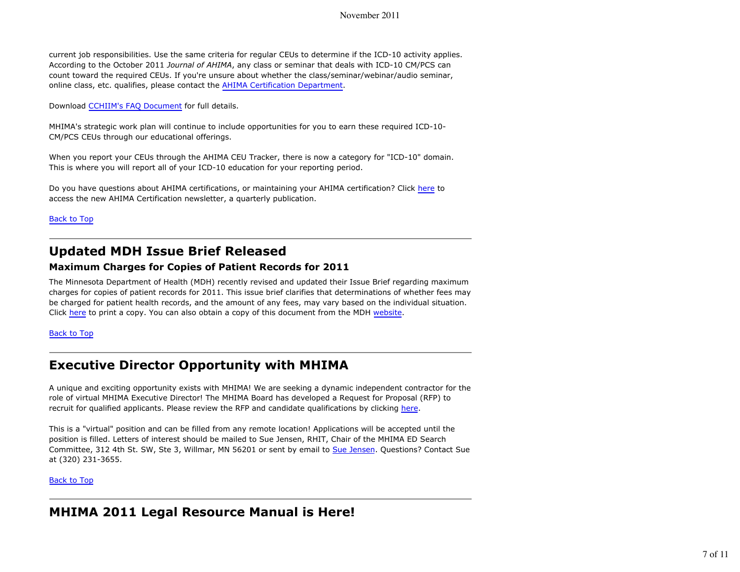### November 2011

current job responsibilities. Use the same criteria for regular CEUs to determine if the ICD-10 activity applies. According to the October 2011 *Journal of AHIMA*, any class or seminar that deals with ICD-10 CM/PCS can count toward the required CEUs. If you're unsure about whether the class/seminar/webinar/audio seminar, online class, etc. qualifies, please contact the AHIMA Certification Department.

Download CCHIIM's FAQ Document for full details.

MHIMA's strategic work plan will continue to include opportunities for you to earn these required ICD-10- CM/PCS CEUs through our educational offerings.

When you report your CEUs through the AHIMA CEU Tracker, there is now a category for "ICD-10" domain. This is where you will report all of your ICD-10 education for your reporting period.

Do you have questions about AHIMA certifications, or maintaining your AHIMA certification? Click here to access the new AHIMA Certification newsletter, a quarterly publication.

Back to Top

## **Updated MDH Issue Brief Released**

### **Maximum Charges for Copies of Patient Records for 2011**

The Minnesota Department of Health (MDH) recently revised and updated their Issue Brief regarding maximum charges for copies of patient records for 2011. This issue brief clarifies that determinations of whether fees may be charged for patient health records, and the amount of any fees, may vary based on the individual situation. Click here to print a copy. You can also obtain a copy of this document from the MDH website.

Back to Top

# **Executive Director Opportunity with MHIMA**

A unique and exciting opportunity exists with MHIMA! We are seeking a dynamic independent contractor for the role of virtual MHIMA Executive Director! The MHIMA Board has developed a Request for Proposal (RFP) to recruit for qualified applicants. Please review the RFP and candidate qualifications by clicking here.

This is a "virtual" position and can be filled from any remote location! Applications will be accepted until the position is filled. Letters of interest should be mailed to Sue Jensen, RHIT, Chair of the MHIMA ED Search Committee, 312 4th St. SW, Ste 3, Willmar, MN 56201 or sent by email to Sue Jensen. Questions? Contact Sue at (320) 231-3655.

Back to Top

# **MHIMA 2011 Legal Resource Manual is Here!**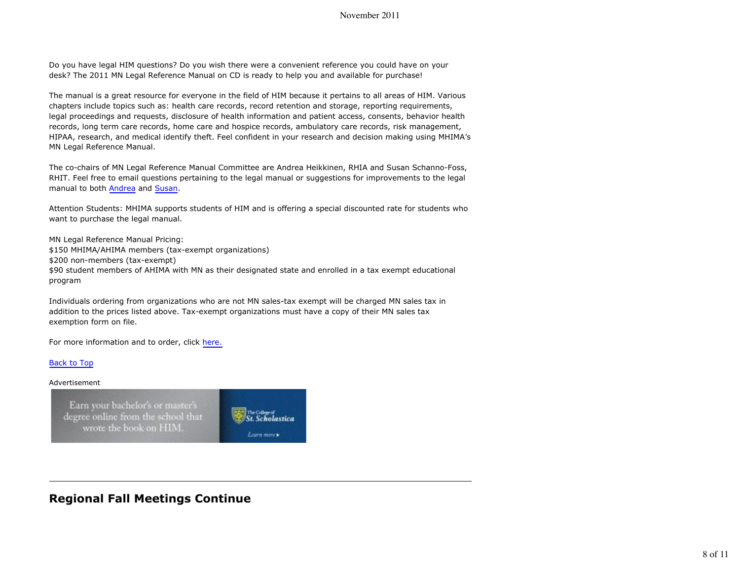Do you have legal HIM questions? Do you wish there were a convenient reference you could have on your desk? The 2011 MN Legal Reference Manual on CD is ready to help you and available for purchase!

The manual is a great resource for everyone in the field of HIM because it pertains to all areas of HIM. Various chapters include topics such as: health care records, record retention and storage, reporting requirements, legal proceedings and requests, disclosure of health information and patient access, consents, behavior health records, long term care records, home care and hospice records, ambulatory care records, risk management, HIPAA, research, and medical identify theft. Feel confident in your research and decision making using MHIMA's MN Legal Reference Manual.

The co-chairs of MN Legal Reference Manual Committee are Andrea Heikkinen, RHIA and Susan Schanno-Foss, RHIT. Feel free to email questions pertaining to the legal manual or suggestions for improvements to the legal manual to both Andrea and Susan.

Attention Students: MHIMA supports students of HIM and is offering a special discounted rate for students who want to purchase the legal manual.

MN Legal Reference Manual Pricing: \$150 MHIMA/AHIMA members (tax-exempt organizations) \$200 non-members (tax-exempt) \$90 student members of AHIMA with MN as their designated state and enrolled in a tax exempt educational program

Individuals ordering from organizations who are not MN sales-tax exempt will be charged MN sales tax in addition to the prices listed above. Tax-exempt organizations must have a copy of their MN sales tax exemption form on file.

The College of<br>St. Scholastica

Learn more

For more information and to order, click here.

#### Back to Top

#### Advertisement

Earn your bachelor's or master's degree online from the school that wrote the book on HIM.

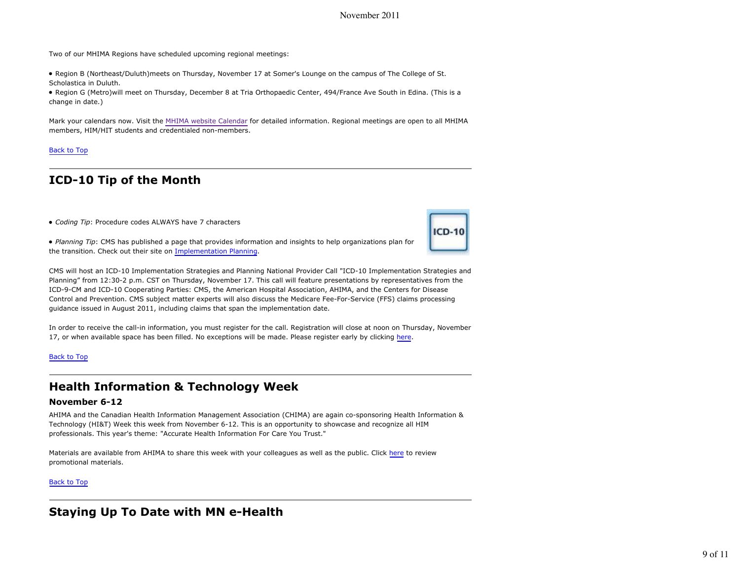November 2011

Two of our MHIMA Regions have scheduled upcoming regional meetings:

Region B (Northeast/Duluth)meets on Thursday, November 17 at Somer's Lounge on the campus of The College of St. Scholastica in Duluth.

Region G (Metro)will meet on Thursday, December 8 at Tria Orthopaedic Center, 494/France Ave South in Edina. (This is a change in date.)

Mark your calendars now. Visit the MHIMA website Calendar for detailed information. Regional meetings are open to all MHIMA members, HIM/HIT students and credentialed non-members.

#### Back to Top

### **ICD-10 Tip of the Month**

*Coding Tip*: Procedure codes ALWAYS have 7 characters

*Planning Tip*: CMS has published a page that provides information and insights to help organizations plan for the transition. Check out their site on Implementation Planning.



CMS will host an ICD-10 Implementation Strategies and Planning National Provider Call "ICD-10 Implementation Strategies and Planning" from 12:30-2 p.m. CST on Thursday, November 17. This call will feature presentations by representatives from the ICD-9-CM and ICD-10 Cooperating Parties: CMS, the American Hospital Association, AHIMA, and the Centers for Disease Control and Prevention. CMS subject matter experts will also discuss the Medicare Fee-For-Service (FFS) claims processing guidance issued in August 2011, including claims that span the implementation date.

In order to receive the call-in information, you must register for the call. Registration will close at noon on Thursday, November 17, or when available space has been filled. No exceptions will be made. Please register early by clicking here.

#### Back to Top

### **Health Information & Technology Week**

#### **November 6-12**

AHIMA and the Canadian Health Information Management Association (CHIMA) are again co-sponsoring Health Information & Technology (HI&T) Week this week from November 6-12. This is an opportunity to showcase and recognize all HIM professionals. This year's theme: "Accurate Health Information For Care You Trust."

Materials are available from AHIMA to share this week with your colleagues as well as the public. Click here to review promotional materials.

#### Back to Top

### **Staying Up To Date with MN e-Health**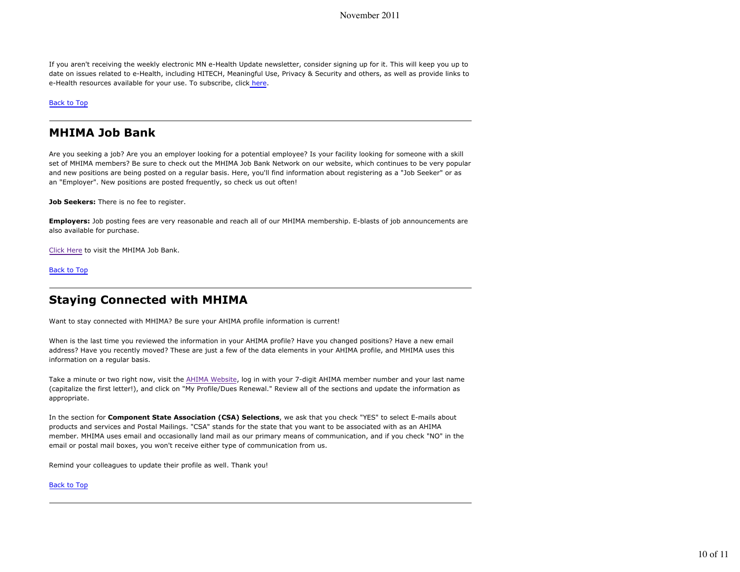If you aren't receiving the weekly electronic MN e-Health Update newsletter, consider signing up for it. This will keep you up to date on issues related to e-Health, including HITECH, Meaningful Use, Privacy & Security and others, as well as provide links to e-Health resources available for your use. To subscribe, click here.

Back to Top

### **MHIMA Job Bank**

Are you seeking a job? Are you an employer looking for a potential employee? Is your facility looking for someone with a skill set of MHIMA members? Be sure to check out the MHIMA Job Bank Network on our website, which continues to be very popular and new positions are being posted on a regular basis. Here, you'll find information about registering as a "Job Seeker" or as an "Employer". New positions are posted frequently, so check us out often!

**Job Seekers:** There is no fee to register.

**Employers:** Job posting fees are very reasonable and reach all of our MHIMA membership. E-blasts of job announcements are also available for purchase.

Click Here to visit the MHIMA Job Bank.

Back to Top

### **Staying Connected with MHIMA**

Want to stay connected with MHIMA? Be sure your AHIMA profile information is current!

When is the last time you reviewed the information in your AHIMA profile? Have you changed positions? Have a new email address? Have you recently moved? These are just a few of the data elements in your AHIMA profile, and MHIMA uses this information on a regular basis.

Take a minute or two right now, visit the AHIMA Website, log in with your 7-digit AHIMA member number and your last name (capitalize the first letter!), and click on "My Profile/Dues Renewal." Review all of the sections and update the information as appropriate.

In the section for **Component State Association (CSA) Selections**, we ask that you check "YES" to select E-mails about products and services and Postal Mailings. "CSA" stands for the state that you want to be associated with as an AHIMA member. MHIMA uses email and occasionally land mail as our primary means of communication, and if you check "NO" in the email or postal mail boxes, you won't receive either type of communication from us.

Remind your colleagues to update their profile as well. Thank you!

#### Back to Top